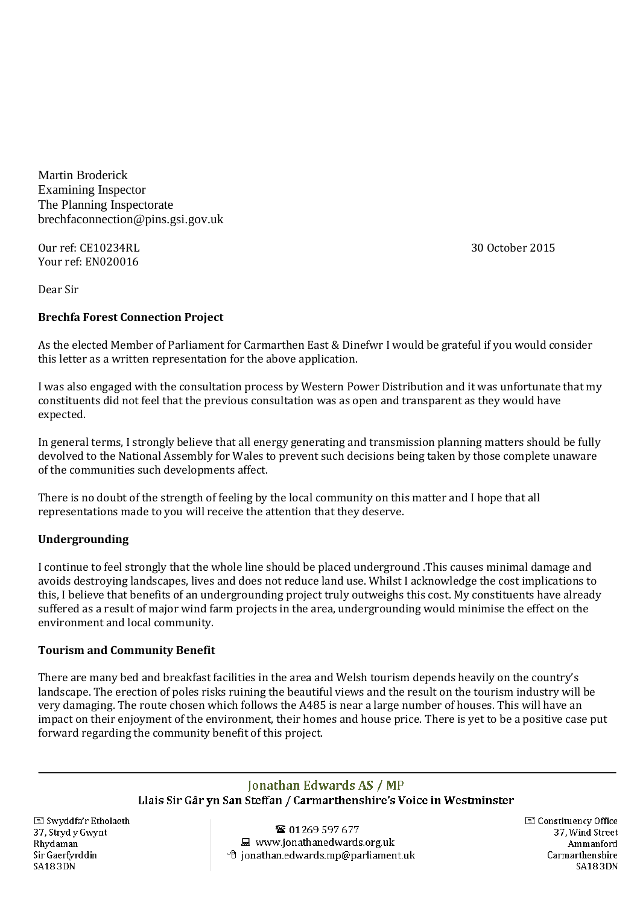Martin Broderick Examining Inspector The Planning Inspectorate brechfaconnection@pins.gsi.gov.uk

Our ref: CE10234RL Your ref: EN020016

30 October 2015

Dear Sir

# **Brechfa Forest Connection Project**

As the elected Member of Parliament for Carmarthen East & Dinefwr I would be grateful if you would consider this letter as a written representation for the above application.

I was also engaged with the consultation process by Western Power Distribution and it was unfortunate that my constituents did not feel that the previous consultation was as open and transparent as they would have expected.

In general terms, I strongly believe that all energy generating and transmission planning matters should be fully devolved to the National Assembly for Wales to prevent such decisions being taken by those complete unaware of the communities such developments affect.

There is no doubt of the strength of feeling by the local community on this matter and I hope that all representations made to you will receive the attention that they deserve.

# **Undergrounding**

I continue to feel strongly that the whole line should be placed underground .This causes minimal damage and avoids destroying landscapes, lives and does not reduce land use. Whilst I acknowledge the cost implications to this, I believe that benefits of an undergrounding project truly outweighs this cost. My constituents have already suffered as a result of major wind farm projects in the area, undergrounding would minimise the effect on the environment and local community.

## **Tourism and Community Benefit**

There are many bed and breakfast facilities in the area and Welsh tourism depends heavily on the country's landscape. The erection of poles risks ruining the beautiful views and the result on the tourism industry will be very damaging. The route chosen which follows the A485 is near a large number of houses. This will have an impact on their enjoyment of the environment, their homes and house price. There is yet to be a positive case put forward regarding the community benefit of this project.

# Jonathan Edwards AS / MP

Llais Sir Gâr yn San Steffan / Carmarthenshire's Voice in Westminster

Swyddfa'r Etholaeth 37, Stryd y Gwynt Rhydaman Sir Gaerfyrddin **SA183DN** 

**雪 01269 597 677** ■ www.jonathanedwards.org.uk  $\sqrt{2}$  jonathan.edwards.mp@parliament.uk Constituency Office 37. Wind Street Ammanford Carmarthenshire **SA183DN**